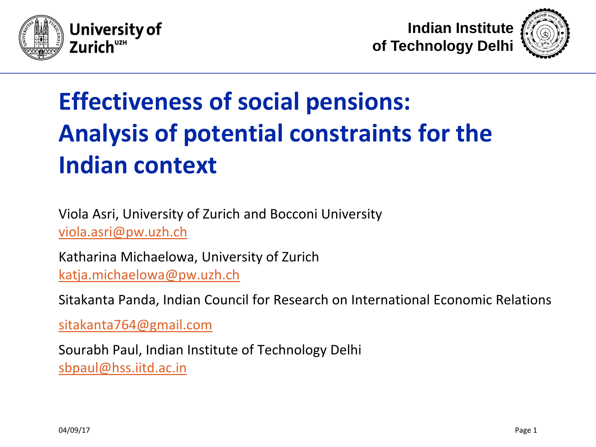





# **Effectiveness of social pensions: Analysis of potential constraints for the Indian context**

Viola Asri, University of Zurich and Bocconi University [viola.asri@pw.uzh.ch](mailto:viola.asri@pw.uzh.ch)

Katharina Michaelowa, University of Zurich [katja.michaelowa@pw.uzh.ch](mailto:katja.michaelowa@pw.uzh.ch)

Sitakanta Panda, Indian Council for Research on International Economic Relations

[sitakanta764@gmail.com](mailto:sitakanta764@gmail.com)

Sourabh Paul, Indian Institute of Technology Delhi [sbpaul@hss.iitd.ac.in](mailto:sbpaul@hss.iitd.ac.in)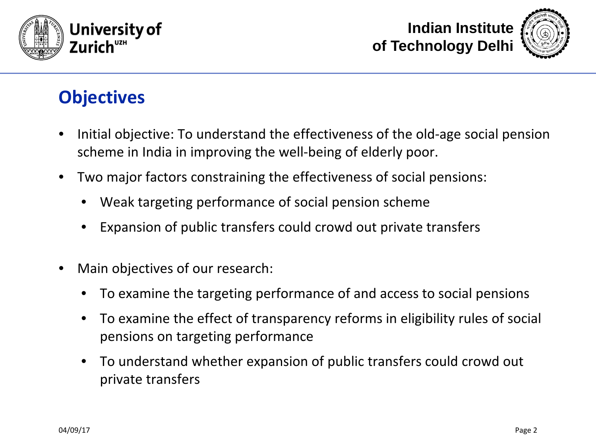





### **Objectives**

- Initial objective: To understand the effectiveness of the old-age social pension scheme in India in improving the well-being of elderly poor.
- Two major factors constraining the effectiveness of social pensions:
	- Weak targeting performance of social pension scheme
	- Expansion of public transfers could crowd out private transfers
- Main objectives of our research:
	- To examine the targeting performance of and access to social pensions
	- To examine the effect of transparency reforms in eligibility rules of social pensions on targeting performance
	- To understand whether expansion of public transfers could crowd out private transfers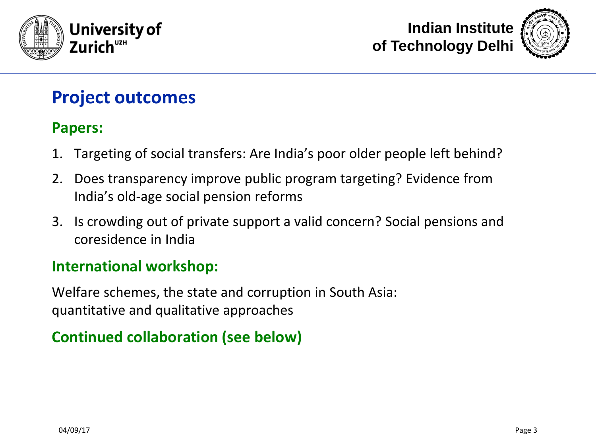





#### **Project outcomes**

#### **Papers:**

- 1. Targeting of social transfers: Are India's poor older people left behind?
- 2. Does transparency improve public program targeting? Evidence from India's old-age social pension reforms
- 3. Is crowding out of private support a valid concern? Social pensions and coresidence in India

#### **International workshop:**

Welfare schemes, the state and corruption in South Asia: quantitative and qualitative approaches

#### **Continued collaboration (see below)**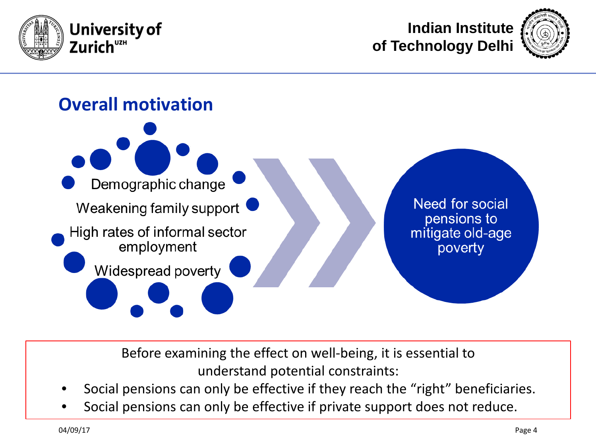







Before examining the effect on well-being, it is essential to understand potential constraints:

- Social pensions can only be effective if they reach the "right" beneficiaries.
- Social pensions can only be effective if private support does not reduce.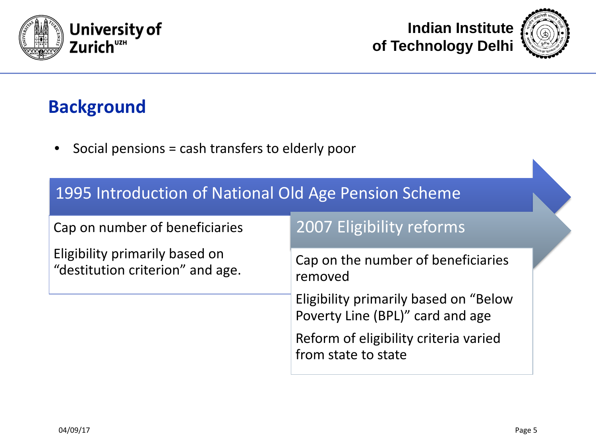



### **Background**

• Social pensions = cash transfers to elderly poor

| 1995 Introduction of National Old Age Pension Scheme               |                                                                           |  |
|--------------------------------------------------------------------|---------------------------------------------------------------------------|--|
| Cap on number of beneficiaries                                     | 2007 Eligibility reforms                                                  |  |
| Eligibility primarily based on<br>"destitution criterion" and age. | Cap on the number of beneficiaries<br>removed                             |  |
|                                                                    | Eligibility primarily based on "Below<br>Poverty Line (BPL)" card and age |  |
|                                                                    | Reform of eligibility criteria varied<br>from state to state              |  |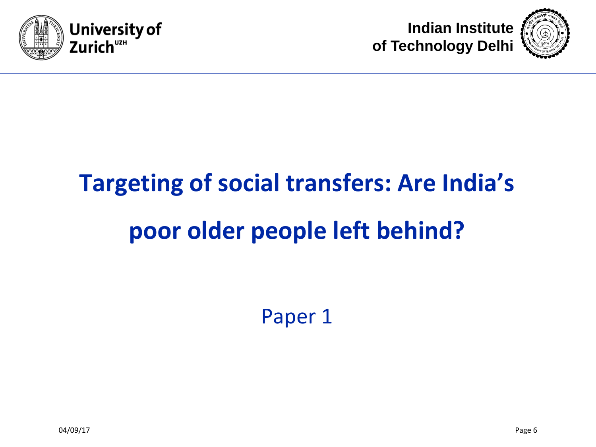





# **Targeting of social transfers: Are India's poor older people left behind?**

Paper 1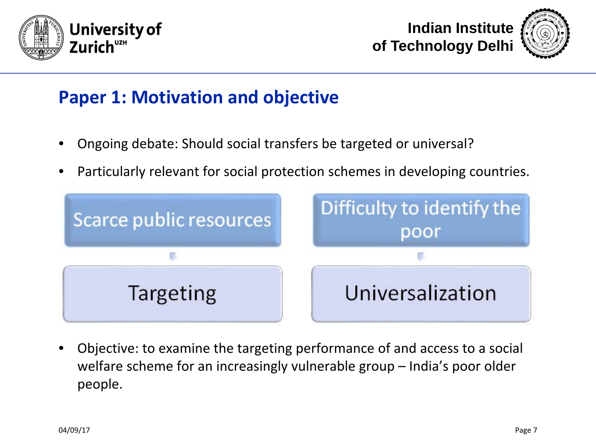





#### **Paper 1: Motivation and objective**

- Ongoing debate: Should social transfers be targeted or universal?
- Particularly relevant for social protection schemes in developing countries.



• Objective: to examine the targeting performance of and access to a social welfare scheme for an increasingly vulnerable group – India's poor older people.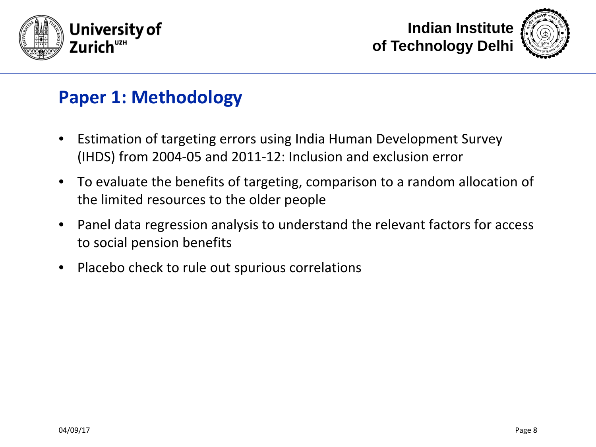





#### **Paper 1: Methodology**

- Estimation of targeting errors using India Human Development Survey (IHDS) from 2004-05 and 2011-12: Inclusion and exclusion error
- To evaluate the benefits of targeting, comparison to a random allocation of the limited resources to the older people
- Panel data regression analysis to understand the relevant factors for access to social pension benefits
- Placebo check to rule out spurious correlations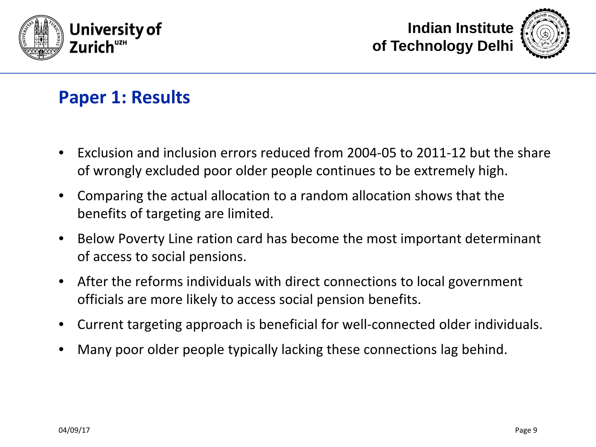





#### **Paper 1: Results**

- Exclusion and inclusion errors reduced from 2004-05 to 2011-12 but the share of wrongly excluded poor older people continues to be extremely high.
- Comparing the actual allocation to a random allocation shows that the benefits of targeting are limited.
- Below Poverty Line ration card has become the most important determinant of access to social pensions.
- After the reforms individuals with direct connections to local government officials are more likely to access social pension benefits.
- Current targeting approach is beneficial for well-connected older individuals.
- Many poor older people typically lacking these connections lag behind.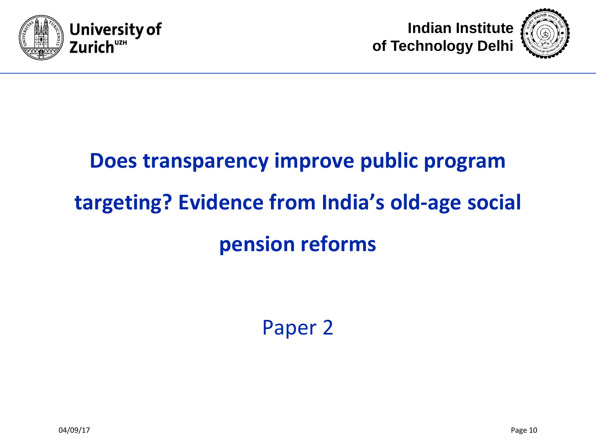





# **Does transparency improve public program targeting? Evidence from India's old-age social pension reforms**

Paper 2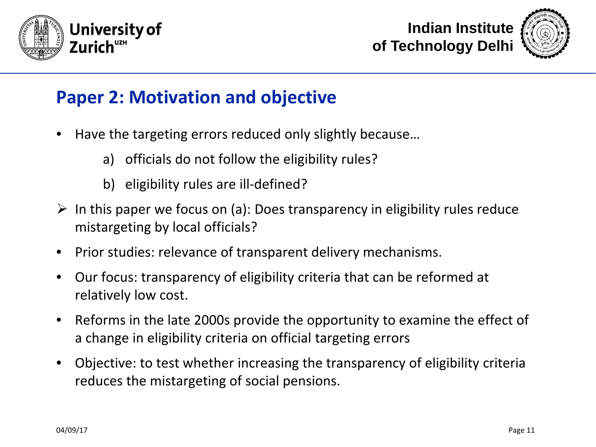





#### **Paper 2: Motivation and objective**

- Have the targeting errors reduced only slightly because…
	- a) officials do not follow the eligibility rules?
	- b) eligibility rules are ill-defined?
- $\triangleright$  In this paper we focus on (a): Does transparency in eligibility rules reduce mistargeting by local officials?
- Prior studies: relevance of transparent delivery mechanisms.
- Our focus: transparency of eligibility criteria that can be reformed at relatively low cost.
- Reforms in the late 2000s provide the opportunity to examine the effect of a change in eligibility criteria on official targeting errors
- Objective: to test whether increasing the transparency of eligibility criteria reduces the mistargeting of social pensions.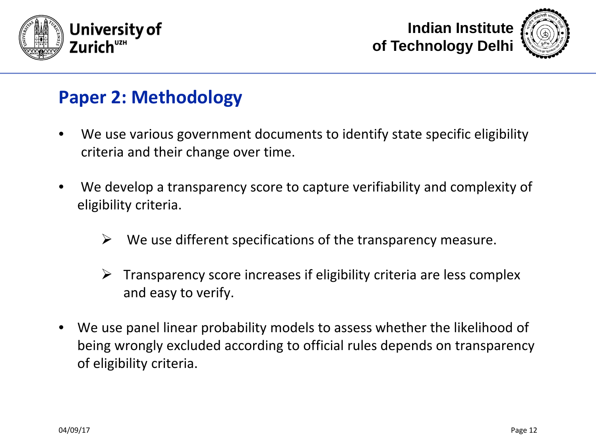





#### **Paper 2: Methodology**

- We use various government documents to identify state specific eligibility criteria and their change over time.
- We develop a transparency score to capture verifiability and complexity of eligibility criteria.
	- $\triangleright$  We use different specifications of the transparency measure.
	- $\triangleright$  Transparency score increases if eligibility criteria are less complex and easy to verify.
- We use panel linear probability models to assess whether the likelihood of being wrongly excluded according to official rules depends on transparency of eligibility criteria.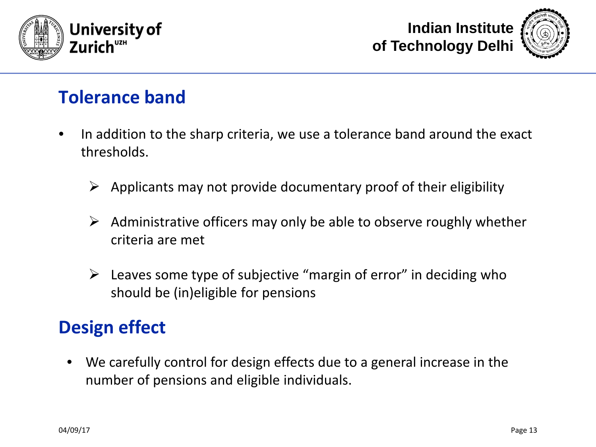





#### **Tolerance band**

- In addition to the sharp criteria, we use a tolerance band around the exact thresholds.
	- $\triangleright$  Applicants may not provide documentary proof of their eligibility
	- $\triangleright$  Administrative officers may only be able to observe roughly whether criteria are met
	- $\triangleright$  Leaves some type of subjective "margin of error" in deciding who should be (in)eligible for pensions

### **Design effect**

• We carefully control for design effects due to a general increase in the number of pensions and eligible individuals.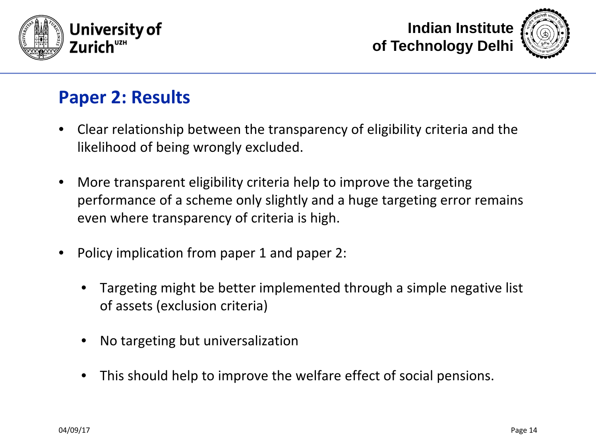



### **Paper 2: Results**

- Clear relationship between the transparency of eligibility criteria and the likelihood of being wrongly excluded.
- More transparent eligibility criteria help to improve the targeting performance of a scheme only slightly and a huge targeting error remains even where transparency of criteria is high.
- Policy implication from paper 1 and paper 2:
	- Targeting might be better implemented through a simple negative list of assets (exclusion criteria)
	- No targeting but universalization
	- This should help to improve the welfare effect of social pensions.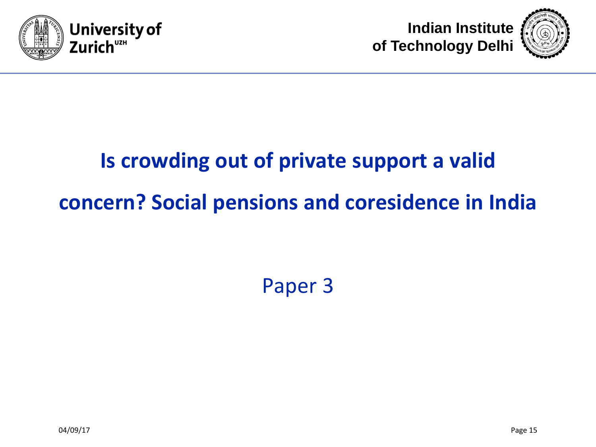





# **Is crowding out of private support a valid concern? Social pensions and coresidence in India**

## Paper 3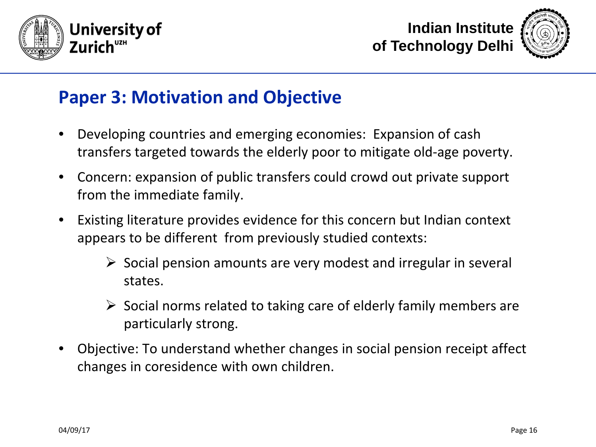





#### **Paper 3: Motivation and Objective**

- Developing countries and emerging economies: Expansion of cash transfers targeted towards the elderly poor to mitigate old-age poverty.
- Concern: expansion of public transfers could crowd out private support from the immediate family.
- Existing literature provides evidence for this concern but Indian context appears to be different from previously studied contexts:
	- $\triangleright$  Social pension amounts are very modest and irregular in several states.
	- $\triangleright$  Social norms related to taking care of elderly family members are particularly strong.
- Objective: To understand whether changes in social pension receipt affect changes in coresidence with own children.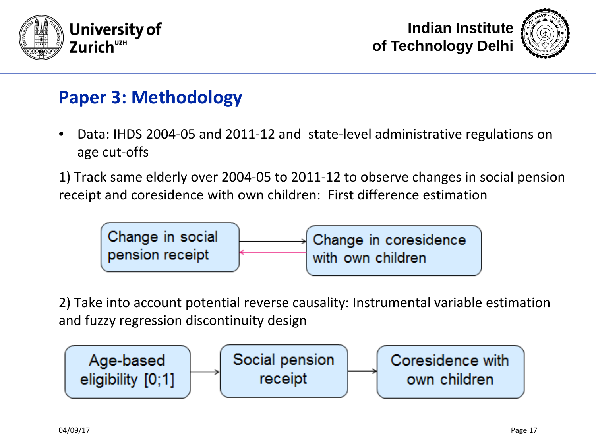





#### **Paper 3: Methodology**

- Data: IHDS 2004-05 and 2011-12 and state-level administrative regulations on age cut-offs
- 1) Track same elderly over 2004-05 to 2011-12 to observe changes in social pension receipt and coresidence with own children: First difference estimation



2) Take into account potential reverse causality: Instrumental variable estimation and fuzzy regression discontinuity design

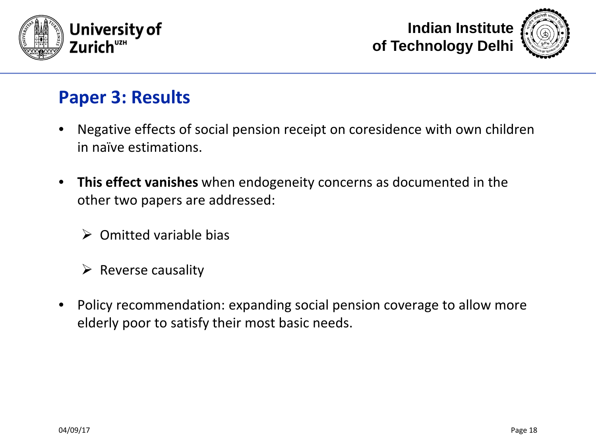





#### **Paper 3: Results**

- Negative effects of social pension receipt on coresidence with own children in naïve estimations.
- **This effect vanishes** when endogeneity concerns as documented in the other two papers are addressed:
	- $\triangleright$  Omitted variable bias
	- $\triangleright$  Reverse causality
- Policy recommendation: expanding social pension coverage to allow more elderly poor to satisfy their most basic needs.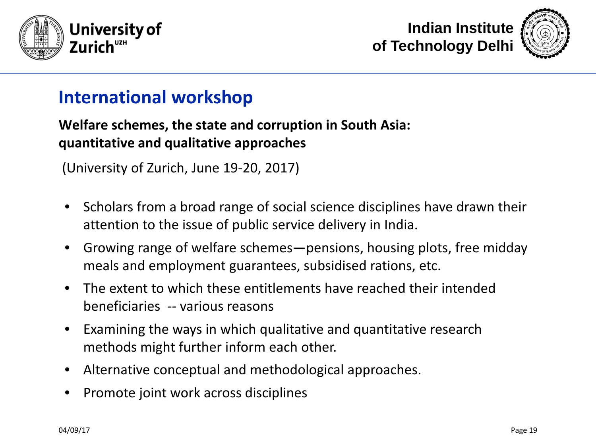





#### **International workshop**

#### **Welfare schemes, the state and corruption in South Asia: quantitative and qualitative approaches**

(University of Zurich, June 19-20, 2017)

- Scholars from a broad range of social science disciplines have drawn their attention to the issue of public service delivery in India.
- Growing range of welfare schemes—pensions, housing plots, free midday meals and employment guarantees, subsidised rations, etc.
- The extent to which these entitlements have reached their intended beneficiaries -- various reasons
- Examining the ways in which qualitative and quantitative research methods might further inform each other.
- Alternative conceptual and methodological approaches.
- Promote joint work across disciplines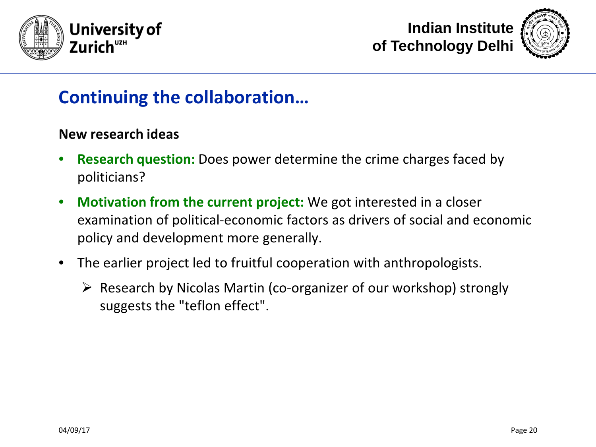





#### **Continuing the collaboration…**

#### **New research ideas**

- **Research question:** Does power determine the crime charges faced by politicians?
- **Motivation from the current project:** We got interested in a closer examination of political-economic factors as drivers of social and economic policy and development more generally.
- The earlier project led to fruitful cooperation with anthropologists.
	- $\triangleright$  Research by Nicolas Martin (co-organizer of our workshop) strongly suggests the "teflon effect".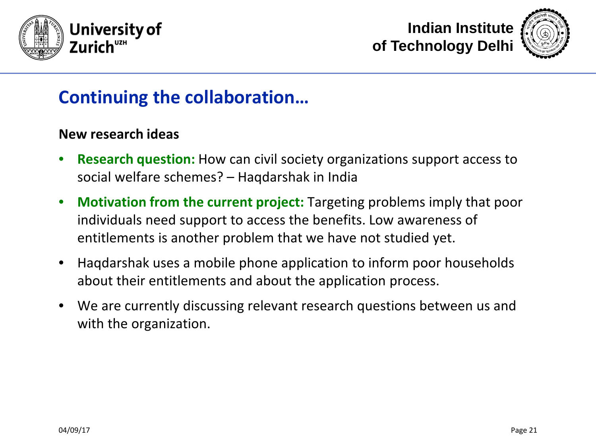





#### **Continuing the collaboration…**

#### **New research ideas**

- **Research question:** How can civil society organizations support access to social welfare schemes? – Haqdarshak in India
- **Motivation from the current project:** Targeting problems imply that poor individuals need support to access the benefits. Low awareness of entitlements is another problem that we have not studied yet.
- Haqdarshak uses a mobile phone application to inform poor households about their entitlements and about the application process.
- We are currently discussing relevant research questions between us and with the organization.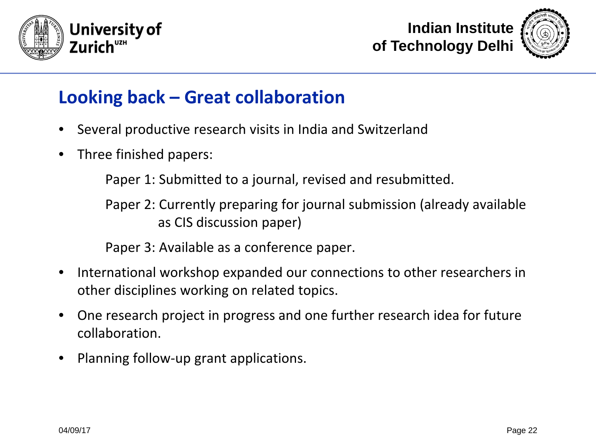





### **Looking back – Great collaboration**

- Several productive research visits in India and Switzerland
- Three finished papers:

Paper 1: Submitted to a journal, revised and resubmitted.

Paper 2: Currently preparing for journal submission (already available as CIS discussion paper)

Paper 3: Available as a conference paper.

- International workshop expanded our connections to other researchers in other disciplines working on related topics.
- One research project in progress and one further research idea for future collaboration.
- Planning follow-up grant applications.